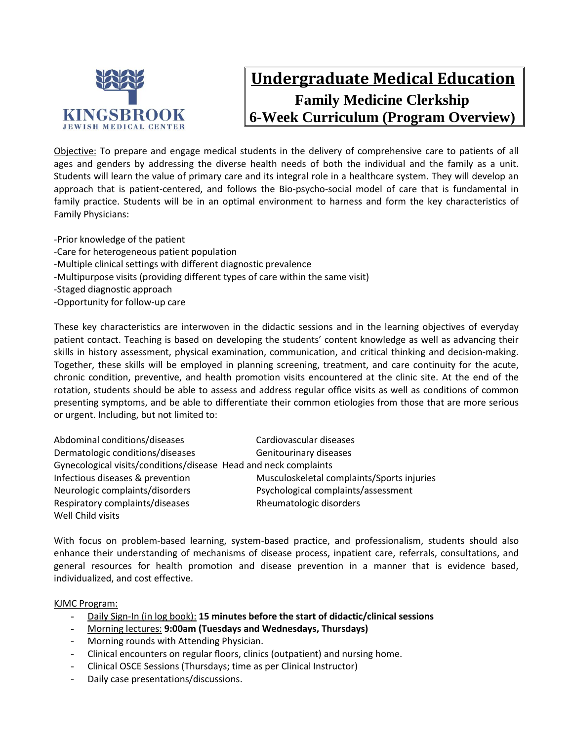

# **Undergraduate Medical Education Family Medicine Clerkship 6-Week Curriculum (Program Overview)**

Objective: To prepare and engage medical students in the delivery of comprehensive care to patients of all ages and genders by addressing the diverse health needs of both the individual and the family as a unit. Students will learn the value of primary care and its integral role in a healthcare system. They will develop an approach that is patient-centered, and follows the Bio-psycho-social model of care that is fundamental in family practice. Students will be in an optimal environment to harness and form the key characteristics of Family Physicians:

-Prior knowledge of the patient -Care for heterogeneous patient population -Multiple clinical settings with different diagnostic prevalence -Multipurpose visits (providing different types of care within the same visit) -Staged diagnostic approach -Opportunity for follow-up care

These key characteristics are interwoven in the didactic sessions and in the learning objectives of everyday patient contact. Teaching is based on developing the students' content knowledge as well as advancing their skills in history assessment, physical examination, communication, and critical thinking and decision-making. Together, these skills will be employed in planning screening, treatment, and care continuity for the acute, chronic condition, preventive, and health promotion visits encountered at the clinic site. At the end of the rotation, students should be able to assess and address regular office visits as well as conditions of common presenting symptoms, and be able to differentiate their common etiologies from those that are more serious or urgent. Including, but not limited to:

| Abdominal conditions/diseases                                    | Cardiovascular diseases                    |  |  |
|------------------------------------------------------------------|--------------------------------------------|--|--|
| Dermatologic conditions/diseases                                 | Genitourinary diseases                     |  |  |
| Gynecological visits/conditions/disease Head and neck complaints |                                            |  |  |
| Infectious diseases & prevention                                 | Musculoskeletal complaints/Sports injuries |  |  |
| Neurologic complaints/disorders                                  | Psychological complaints/assessment        |  |  |
| Respiratory complaints/diseases                                  | Rheumatologic disorders                    |  |  |
| Well Child visits                                                |                                            |  |  |

With focus on problem-based learning, system-based practice, and professionalism, students should also enhance their understanding of mechanisms of disease process, inpatient care, referrals, consultations, and general resources for health promotion and disease prevention in a manner that is evidence based, individualized, and cost effective.

### KJMC Program:

- Daily Sign-In (in log book): **15 minutes before the start of didactic/clinical sessions**
- Morning lectures: **9:00am (Tuesdays and Wednesdays, Thursdays)**
- Morning rounds with Attending Physician.
- Clinical encounters on regular floors, clinics (outpatient) and nursing home.
- Clinical OSCE Sessions (Thursdays; time as per Clinical Instructor)
- Daily case presentations/discussions.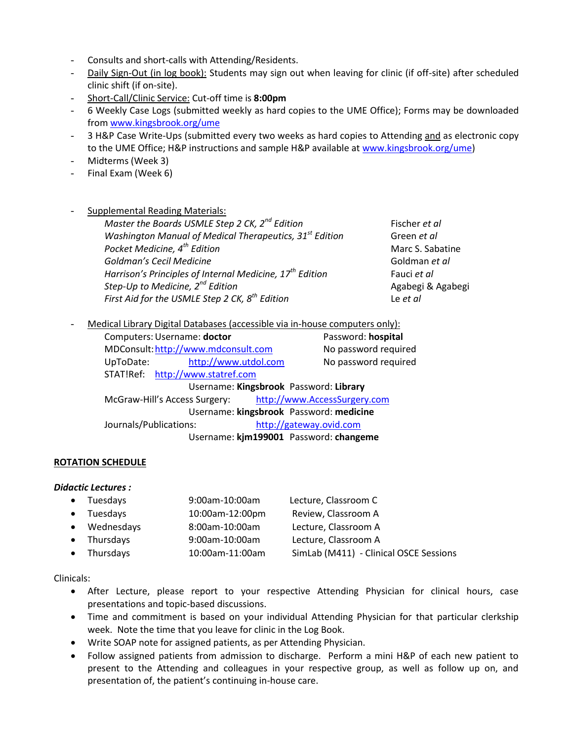- Consults and short-calls with Attending/Residents.
- Daily Sign-Out (in log book): Students may sign out when leaving for clinic (if off-site) after scheduled clinic shift (if on-site).
- Short-Call/Clinic Service: Cut-off time is **8:00pm**
- 6 Weekly Case Logs (submitted weekly as hard copies to the UME Office); Forms may be downloaded from [www.kingsbrook.org/ume](http://www.kingsbrook.org/ume)
- 3 H&P Case Write-Ups (submitted every two weeks as hard copies to Attending and as electronic copy to the UME Office; H&P instructions and sample H&P available at [www.kingsbrook.org/ume\)](http://www.kingsbrook.org/ume)
- Midterms (Week 3)
- Final Exam (Week 6)
- Supplemental Reading Materials:

*Master the Boards USMLE Step 2 CK, 2<sup>nd</sup> Edition* Fischer *et al Washington Manual of Medical Therapeutics, 31st Edition* Green *et al Pocket Medicine,*  $4^{th}$  *Edition* Marc S. Sabatine *Goldman's Cecil Medicine* Goldman *et al Harrison's Principles of Internal Medicine, 17th Edition* Fauci *et al Step-Up to Medicine, 2nd Edition* Agabegi & Agabegi *First Aid for the USMLE Step 2 CK, 8th Edition* Le *et al*

Medical Library Digital Databases (accessible via in-house computers only):

| Computers: Username: doctor                                   |                                        | Password: hospital   |
|---------------------------------------------------------------|----------------------------------------|----------------------|
| MDConsult: http://www.mdconsult.com                           |                                        | No password required |
| http://www.utdol.com<br>UpToDate:                             |                                        | No password required |
| STAT!Ref: http://www.statref.com                              |                                        |                      |
| Username: Kingsbrook Password: Library                        |                                        |                      |
| http://www.AccessSurgery.com<br>McGraw-Hill's Access Surgery: |                                        |                      |
| Username: kingsbrook Password: medicine                       |                                        |                      |
| Journals/Publications:                                        | http://gateway.ovid.com                |                      |
|                                                               | Username: kjm199001 Password: changeme |                      |

### **ROTATION SCHEDULE**

### *Didactic Lectures :*

| • Tuesdays   | 9:00am-10:00am  | Lecture, Classroom C                   |
|--------------|-----------------|----------------------------------------|
| • Tuesdays   | 10:00am-12:00pm | Review, Classroom A                    |
| • Wednesdays | 8:00am-10:00am  | Lecture, Classroom A                   |
| • Thursdays  | 9:00am-10:00am  | Lecture, Classroom A                   |
| • Thursdays  | 10:00am-11:00am | SimLab (M411) - Clinical OSCE Sessions |
|              |                 |                                        |

### Clinicals:

- After Lecture, please report to your respective Attending Physician for clinical hours, case presentations and topic-based discussions.
- Time and commitment is based on your individual Attending Physician for that particular clerkship week. Note the time that you leave for clinic in the Log Book.
- Write SOAP note for assigned patients, as per Attending Physician.
- Follow assigned patients from admission to discharge. Perform a mini H&P of each new patient to present to the Attending and colleagues in your respective group, as well as follow up on, and presentation of, the patient's continuing in-house care.